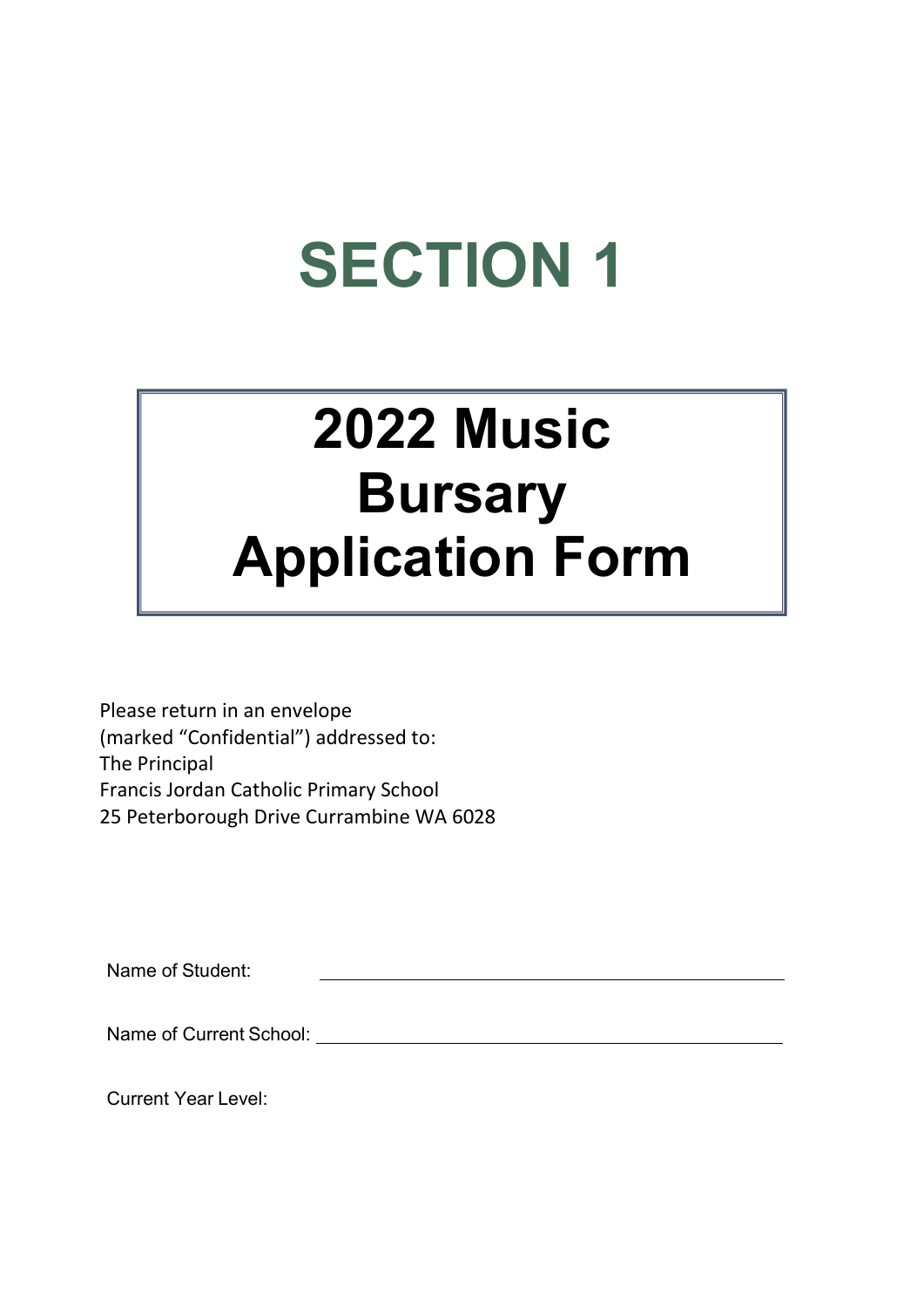## SECTION 1

## 2022 Music **Bursary** Application Form

Please return in an envelope (marked "Confidential") addressed to: The Principal Francis Jordan Catholic Primary School 25 Peterborough Drive Currambine WA 6028

Name of Student:

Name of Current School: Name of Current School:

Current Year Level: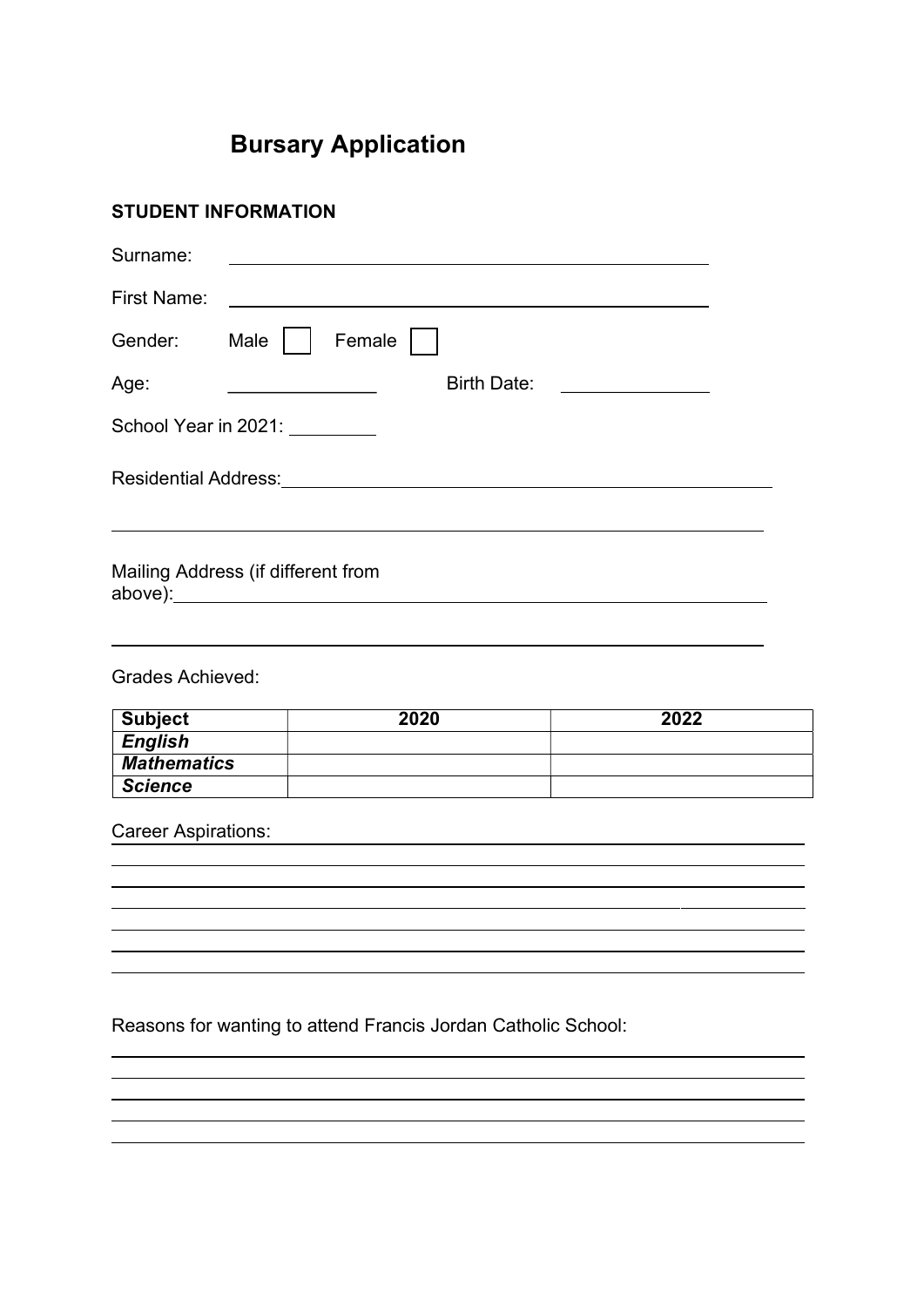### Bursary Application

| <b>STUDENT INFORMATION</b>           |                                                        |                                                                                                                  |
|--------------------------------------|--------------------------------------------------------|------------------------------------------------------------------------------------------------------------------|
| Surname:                             |                                                        |                                                                                                                  |
| <b>First Name:</b>                   |                                                        |                                                                                                                  |
| Gender:                              | Male $ $<br>Female                                     |                                                                                                                  |
| Age:                                 | Birth Date:<br><u> 1990 - Johann Barbara, martin a</u> |                                                                                                                  |
|                                      | School Year in 2021: ________                          |                                                                                                                  |
|                                      |                                                        |                                                                                                                  |
|                                      | Mailing Address (if different from                     |                                                                                                                  |
| <b>Grades Achieved:</b>              |                                                        |                                                                                                                  |
| <b>Subject</b>                       | 2020                                                   | 2022                                                                                                             |
| <b>English</b><br><b>Mathematics</b> |                                                        |                                                                                                                  |
| <b>Science</b>                       |                                                        |                                                                                                                  |
| <b>Career Aspirations:</b>           |                                                        | and the control of the control of the control of the control of the control of the control of the control of the |
|                                      |                                                        |                                                                                                                  |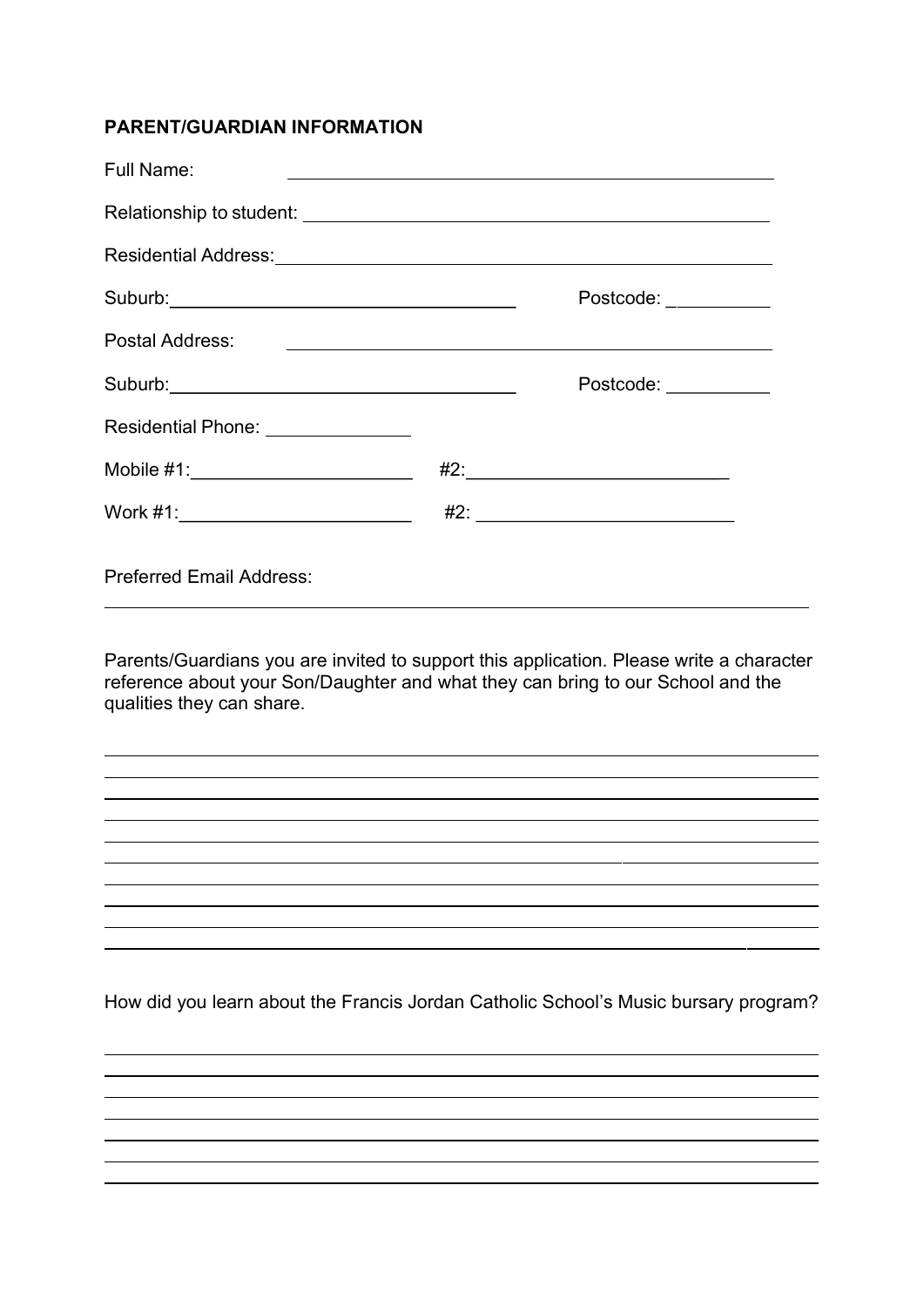#### PARENT/GUARDIAN INFORMATION

| <b>Full Name:</b>                     |  | <u> 1980 - Jan Samuel Barbara, martin da shekara ta 1980 haɗa ta 1980 haɗa ta 1980 haɗa ta 1980 haɗa ta 1980 haɗa</u> |
|---------------------------------------|--|-----------------------------------------------------------------------------------------------------------------------|
|                                       |  |                                                                                                                       |
|                                       |  |                                                                                                                       |
|                                       |  | Postcode:                                                                                                             |
| Postal Address:                       |  | <u> 1989 - Johann John Stein, markin film yn y brenin y brenin y brenin y brenin y brenin y brenin y brenin y br</u>  |
|                                       |  | Postcode: __________                                                                                                  |
| Residential Phone: _______________    |  |                                                                                                                       |
| Mobile #1:_________________________   |  |                                                                                                                       |
| Work #1:_____________________________ |  |                                                                                                                       |
| <b>Preferred Email Address:</b>       |  |                                                                                                                       |

Parents/Guardians you are invited to support this application. Please write a character reference about your Son/Daughter and what they can bring to our School and the qualities they can share.

and the control of the control of the control of the control of the control of the control of the control of the

How did you learn about the Francis Jordan Catholic School's Music bursary program?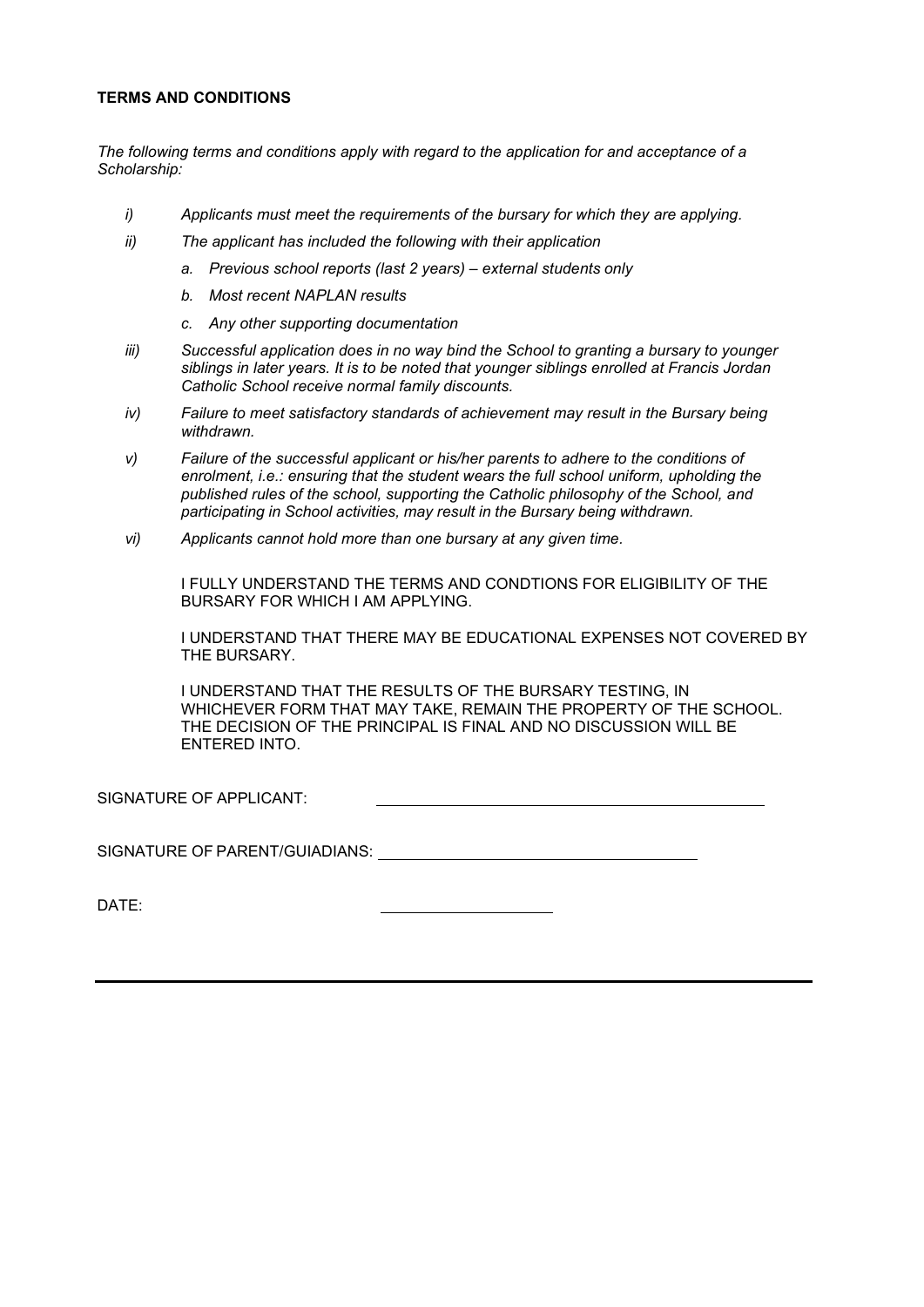#### TERMS AND CONDITIONS

The following terms and conditions apply with regard to the application for and acceptance of a Scholarship:

- i) Applicants must meet the requirements of the bursary for which they are applying.
- ii) The applicant has included the following with their application
	- a. Previous school reports (last 2 years) external students only
	- b. Most recent NAPLAN results
	- c. Any other supporting documentation
- iii) Successful application does in no way bind the School to granting a bursary to younger siblings in later years. It is to be noted that younger siblings enrolled at Francis Jordan Catholic School receive normal family discounts.
- iv) Failure to meet satisfactory standards of achievement may result in the Bursary being withdrawn.
- v) Failure of the successful applicant or his/her parents to adhere to the conditions of enrolment, i.e.: ensuring that the student wears the full school uniform, upholding the published rules of the school, supporting the Catholic philosophy of the School, and participating in School activities, may result in the Bursary being withdrawn.
- vi) Applicants cannot hold more than one bursary at any given time.

I FULLY UNDERSTAND THE TERMS AND CONDTIONS FOR ELIGIBILITY OF THE BURSARY FOR WHICH I AM APPLYING.

I UNDERSTAND THAT THERE MAY BE EDUCATIONAL EXPENSES NOT COVERED BY THE BURSARY.

I UNDERSTAND THAT THE RESULTS OF THE BURSARY TESTING, IN WHICHEVER FORM THAT MAY TAKE, REMAIN THE PROPERTY OF THE SCHOOL. THE DECISION OF THE PRINCIPAL IS FINAL AND NO DISCUSSION WILL BE ENTERED INTO.

SIGNATURE OF APPLICANT:

SIGNATURE OF PARENT/GUIADIANS:

DATE: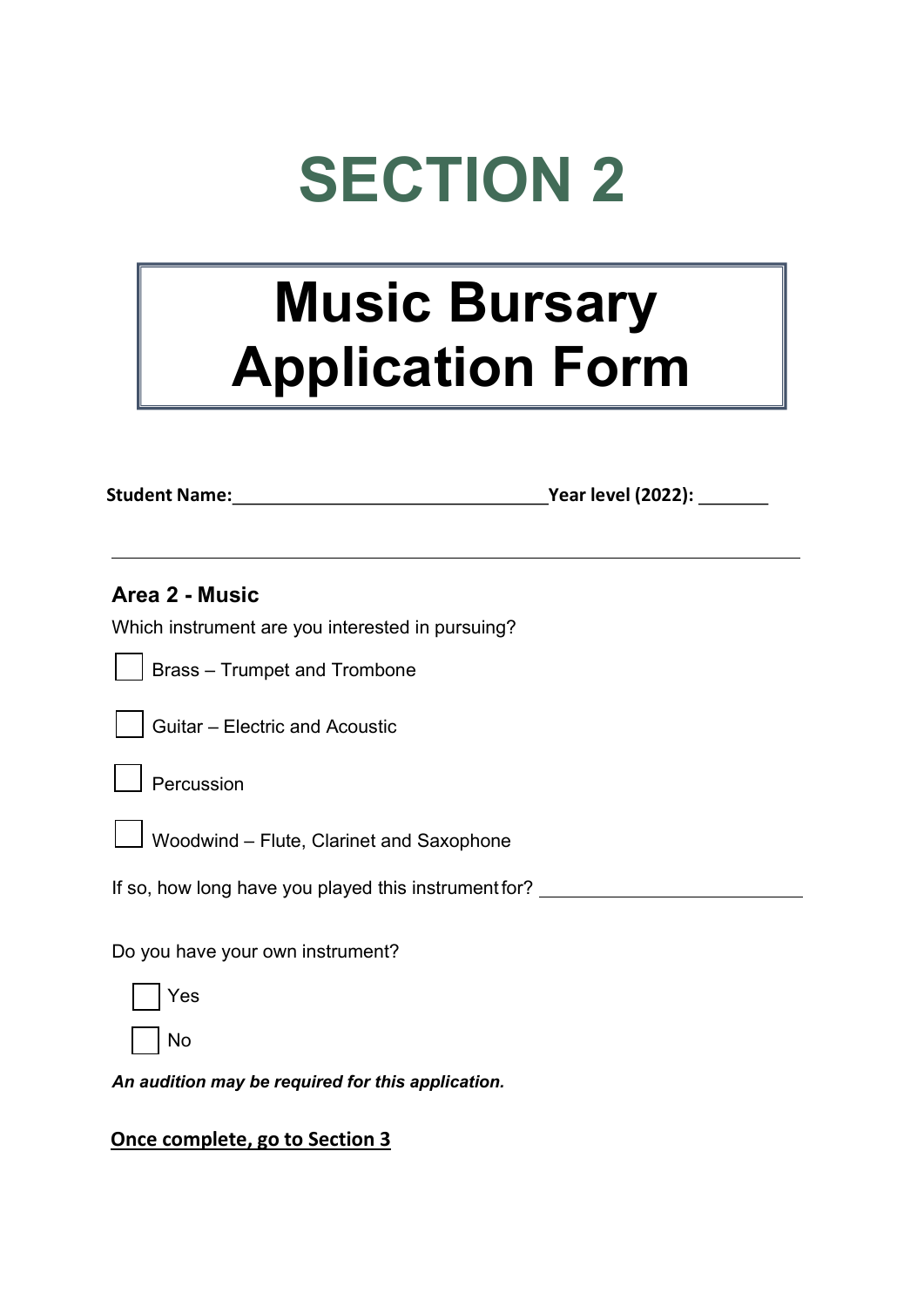## SECTION 2

### Music Bursary Application Form

Student Name: Year level (2022):

| Area 2 - Music<br>Which instrument are you interested in pursuing? |  |
|--------------------------------------------------------------------|--|
| <b>Brass - Trumpet and Trombone</b>                                |  |
| Guitar - Electric and Acoustic                                     |  |
| Percussion                                                         |  |
| Woodwind - Flute, Clarinet and Saxophone                           |  |
| If so, how long have you played this instrument for?               |  |
| Do you have your own instrument?                                   |  |
| Yes                                                                |  |
| No                                                                 |  |
| An audition may be required for this application.                  |  |

#### Once complete, go to Section 3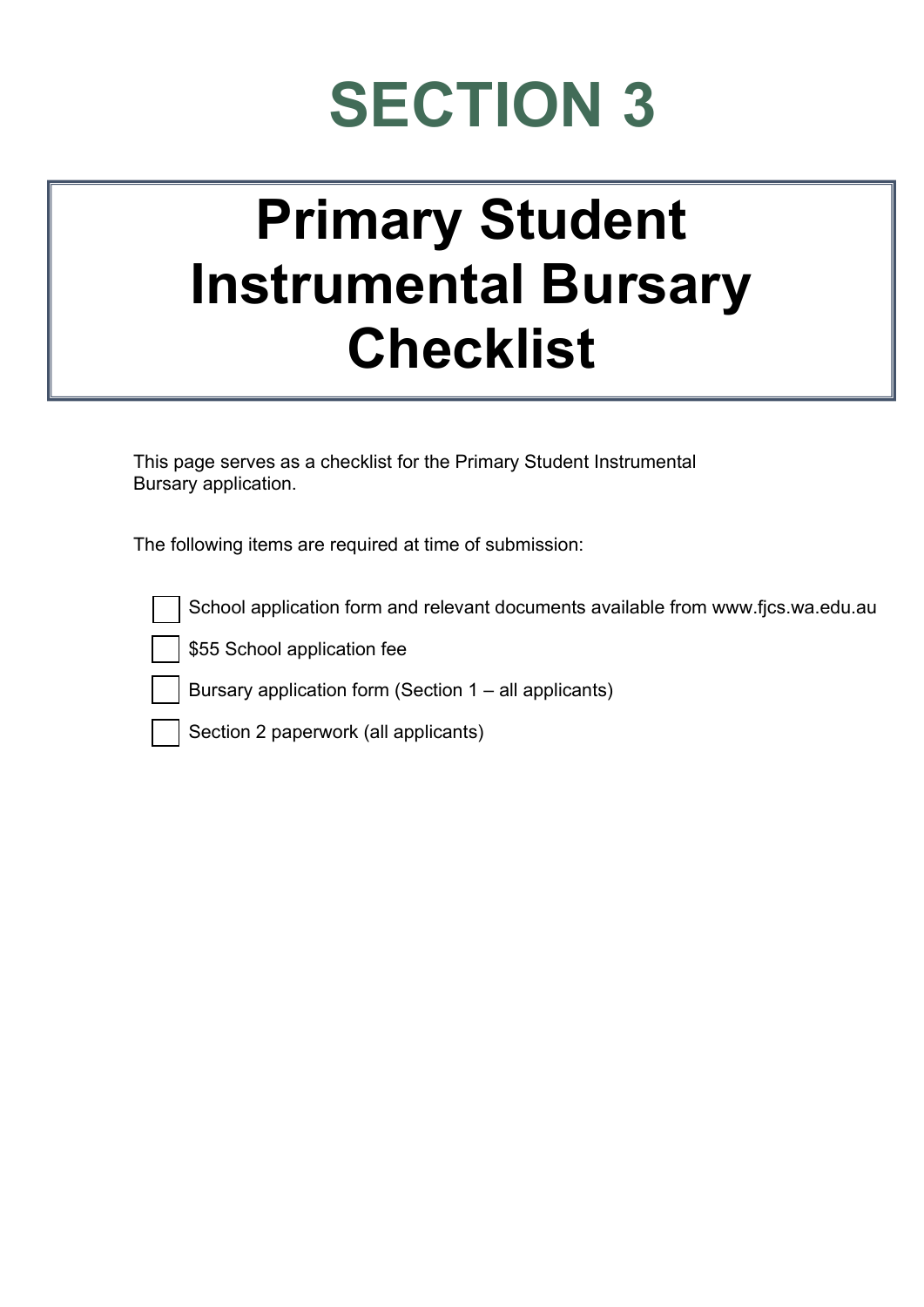# SECTION 3

### Primary Student Instrumental Bursary **Checklist**

This page serves as a checklist for the Primary Student Instrumental Bursary application.

The following items are required at time of submission:

\$55 School application fee

Bursary application form (Section 1 – all applicants)

Section 2 paperwork (all applicants)